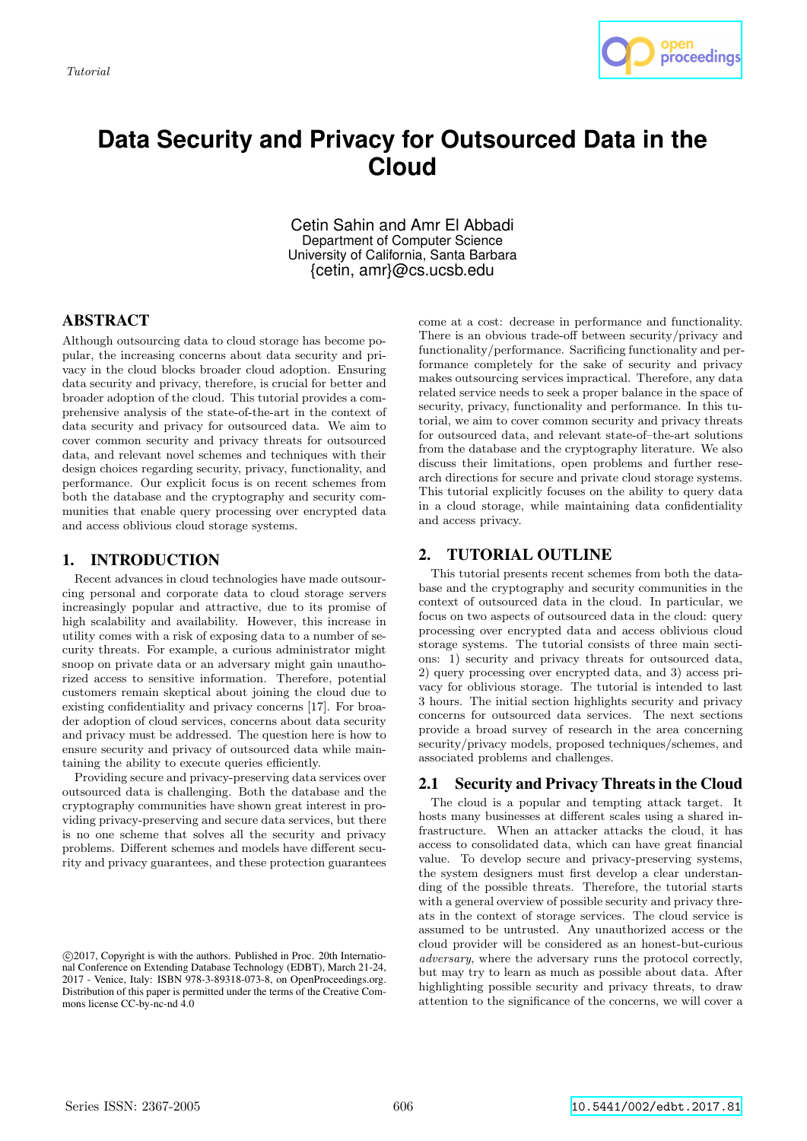

# **Data Security and Privacy for Outsourced Data in the Cloud**

Cetin Sahin and Amr El Abbadi Department of Computer Science University of California, Santa Barbara {cetin, amr}@cs.ucsb.edu

## ABSTRACT

Although outsourcing data to cloud storage has become popular, the increasing concerns about data security and privacy in the cloud blocks broader cloud adoption. Ensuring data security and privacy, therefore, is crucial for better and broader adoption of the cloud. This tutorial provides a comprehensive analysis of the state-of-the-art in the context of data security and privacy for outsourced data. We aim to cover common security and privacy threats for outsourced data, and relevant novel schemes and techniques with their design choices regarding security, privacy, functionality, and performance. Our explicit focus is on recent schemes from both the database and the cryptography and security communities that enable query processing over encrypted data and access oblivious cloud storage systems.

## 1. INTRODUCTION

Recent advances in cloud technologies have made outsourcing personal and corporate data to cloud storage servers increasingly popular and attractive, due to its promise of high scalability and availability. However, this increase in utility comes with a risk of exposing data to a number of security threats. For example, a curious administrator might snoop on private data or an adversary might gain unauthorized access to sensitive information. Therefore, potential customers remain skeptical about joining the cloud due to existing confidentiality and privacy concerns [17]. For broader adoption of cloud services, concerns about data security and privacy must be addressed. The question here is how to ensure security and privacy of outsourced data while maintaining the ability to execute queries efficiently.

Providing secure and privacy-preserving data services over outsourced data is challenging. Both the database and the cryptography communities have shown great interest in providing privacy-preserving and secure data services, but there is no one scheme that solves all the security and privacy problems. Different schemes and models have different security and privacy guarantees, and these protection guarantees

come at a cost: decrease in performance and functionality. There is an obvious trade-off between security/privacy and functionality/performance. Sacrificing functionality and performance completely for the sake of security and privacy makes outsourcing services impractical. Therefore, any data related service needs to seek a proper balance in the space of security, privacy, functionality and performance. In this tutorial, we aim to cover common security and privacy threats for outsourced data, and relevant state-of–the-art solutions from the database and the cryptography literature. We also discuss their limitations, open problems and further research directions for secure and private cloud storage systems. This tutorial explicitly focuses on the ability to query data in a cloud storage, while maintaining data confidentiality and access privacy.

## 2. TUTORIAL OUTLINE

This tutorial presents recent schemes from both the database and the cryptography and security communities in the context of outsourced data in the cloud. In particular, we focus on two aspects of outsourced data in the cloud: query processing over encrypted data and access oblivious cloud storage systems. The tutorial consists of three main sections: 1) security and privacy threats for outsourced data, 2) query processing over encrypted data, and 3) access privacy for oblivious storage. The tutorial is intended to last 3 hours. The initial section highlights security and privacy concerns for outsourced data services. The next sections provide a broad survey of research in the area concerning security/privacy models, proposed techniques/schemes, and associated problems and challenges.

### 2.1 Security and Privacy Threats in the Cloud

The cloud is a popular and tempting attack target. It hosts many businesses at different scales using a shared infrastructure. When an attacker attacks the cloud, it has access to consolidated data, which can have great financial value. To develop secure and privacy-preserving systems, the system designers must first develop a clear understanding of the possible threats. Therefore, the tutorial starts with a general overview of possible security and privacy threats in the context of storage services. The cloud service is assumed to be untrusted. Any unauthorized access or the cloud provider will be considered as an honest-but-curious adversary, where the adversary runs the protocol correctly, but may try to learn as much as possible about data. After highlighting possible security and privacy threats, to draw attention to the significance of the concerns, we will cover a

c 2017, Copyright is with the authors. Published in Proc. 20th International Conference on Extending Database Technology (EDBT), March 21-24, 2017 - Venice, Italy: ISBN 978-3-89318-073-8, on OpenProceedings.org. Distribution of this paper is permitted under the terms of the Creative Commons license CC-by-nc-nd 4.0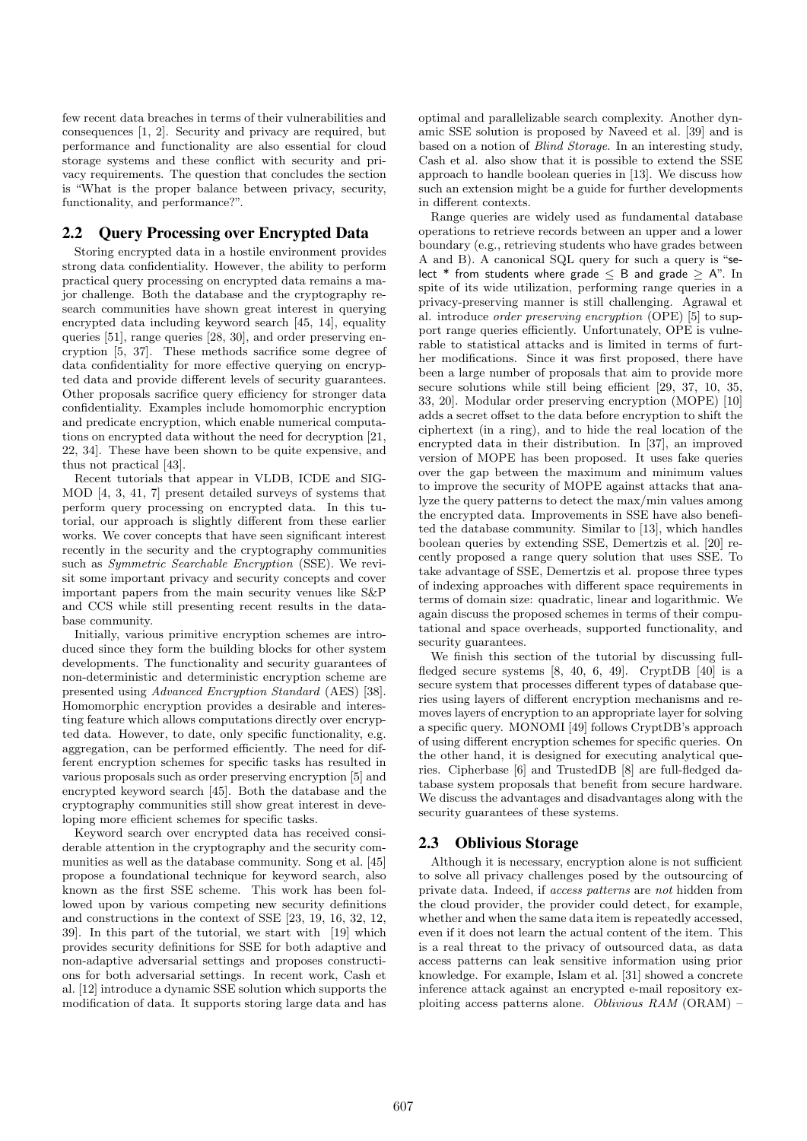few recent data breaches in terms of their vulnerabilities and consequences [1, 2]. Security and privacy are required, but performance and functionality are also essential for cloud storage systems and these conflict with security and privacy requirements. The question that concludes the section is "What is the proper balance between privacy, security, functionality, and performance?".

#### 2.2 Query Processing over Encrypted Data

Storing encrypted data in a hostile environment provides strong data confidentiality. However, the ability to perform practical query processing on encrypted data remains a major challenge. Both the database and the cryptography research communities have shown great interest in querying encrypted data including keyword search [45, 14], equality queries [51], range queries [28, 30], and order preserving encryption [5, 37]. These methods sacrifice some degree of data confidentiality for more effective querying on encrypted data and provide different levels of security guarantees. Other proposals sacrifice query efficiency for stronger data confidentiality. Examples include homomorphic encryption and predicate encryption, which enable numerical computations on encrypted data without the need for decryption [21, 22, 34]. These have been shown to be quite expensive, and thus not practical [43].

Recent tutorials that appear in VLDB, ICDE and SIG-MOD [4, 3, 41, 7] present detailed surveys of systems that perform query processing on encrypted data. In this tutorial, our approach is slightly different from these earlier works. We cover concepts that have seen significant interest recently in the security and the cryptography communities such as *Symmetric Searchable Encryption* (SSE). We revisit some important privacy and security concepts and cover important papers from the main security venues like S&P and CCS while still presenting recent results in the database community.

Initially, various primitive encryption schemes are introduced since they form the building blocks for other system developments. The functionality and security guarantees of non-deterministic and deterministic encryption scheme are presented using Advanced Encryption Standard (AES) [38]. Homomorphic encryption provides a desirable and interesting feature which allows computations directly over encrypted data. However, to date, only specific functionality, e.g. aggregation, can be performed efficiently. The need for different encryption schemes for specific tasks has resulted in various proposals such as order preserving encryption [5] and encrypted keyword search [45]. Both the database and the cryptography communities still show great interest in developing more efficient schemes for specific tasks.

Keyword search over encrypted data has received considerable attention in the cryptography and the security communities as well as the database community. Song et al. [45] propose a foundational technique for keyword search, also known as the first SSE scheme. This work has been followed upon by various competing new security definitions and constructions in the context of SSE [23, 19, 16, 32, 12, 39]. In this part of the tutorial, we start with [19] which provides security definitions for SSE for both adaptive and non-adaptive adversarial settings and proposes constructions for both adversarial settings. In recent work, Cash et al. [12] introduce a dynamic SSE solution which supports the modification of data. It supports storing large data and has optimal and parallelizable search complexity. Another dynamic SSE solution is proposed by Naveed et al. [39] and is based on a notion of Blind Storage. In an interesting study, Cash et al. also show that it is possible to extend the SSE approach to handle boolean queries in [13]. We discuss how such an extension might be a guide for further developments in different contexts.

Range queries are widely used as fundamental database operations to retrieve records between an upper and a lower boundary (e.g., retrieving students who have grades between A and B). A canonical SQL query for such a query is "select \* from students where grade  $\leq$  B and grade  $>$  A". In spite of its wide utilization, performing range queries in a privacy-preserving manner is still challenging. Agrawal et al. introduce order preserving encryption (OPE) [5] to support range queries efficiently. Unfortunately, OPE is vulnerable to statistical attacks and is limited in terms of further modifications. Since it was first proposed, there have been a large number of proposals that aim to provide more secure solutions while still being efficient [29, 37, 10, 35, 33, 20]. Modular order preserving encryption (MOPE) [10] adds a secret offset to the data before encryption to shift the ciphertext (in a ring), and to hide the real location of the encrypted data in their distribution. In [37], an improved version of MOPE has been proposed. It uses fake queries over the gap between the maximum and minimum values to improve the security of MOPE against attacks that analyze the query patterns to detect the max/min values among the encrypted data. Improvements in SSE have also benefited the database community. Similar to [13], which handles boolean queries by extending SSE, Demertzis et al. [20] recently proposed a range query solution that uses SSE. To take advantage of SSE, Demertzis et al. propose three types of indexing approaches with different space requirements in terms of domain size: quadratic, linear and logarithmic. We again discuss the proposed schemes in terms of their computational and space overheads, supported functionality, and security guarantees.

We finish this section of the tutorial by discussing fullfledged secure systems [8, 40, 6, 49]. CryptDB [40] is a secure system that processes different types of database queries using layers of different encryption mechanisms and removes layers of encryption to an appropriate layer for solving a specific query. MONOMI [49] follows CryptDB's approach of using different encryption schemes for specific queries. On the other hand, it is designed for executing analytical queries. Cipherbase [6] and TrustedDB [8] are full-fledged database system proposals that benefit from secure hardware. We discuss the advantages and disadvantages along with the security guarantees of these systems.

#### 2.3 Oblivious Storage

Although it is necessary, encryption alone is not sufficient to solve all privacy challenges posed by the outsourcing of private data. Indeed, if access patterns are not hidden from the cloud provider, the provider could detect, for example, whether and when the same data item is repeatedly accessed, even if it does not learn the actual content of the item. This is a real threat to the privacy of outsourced data, as data access patterns can leak sensitive information using prior knowledge. For example, Islam et al. [31] showed a concrete inference attack against an encrypted e-mail repository exploiting access patterns alone. Oblivious RAM (ORAM) –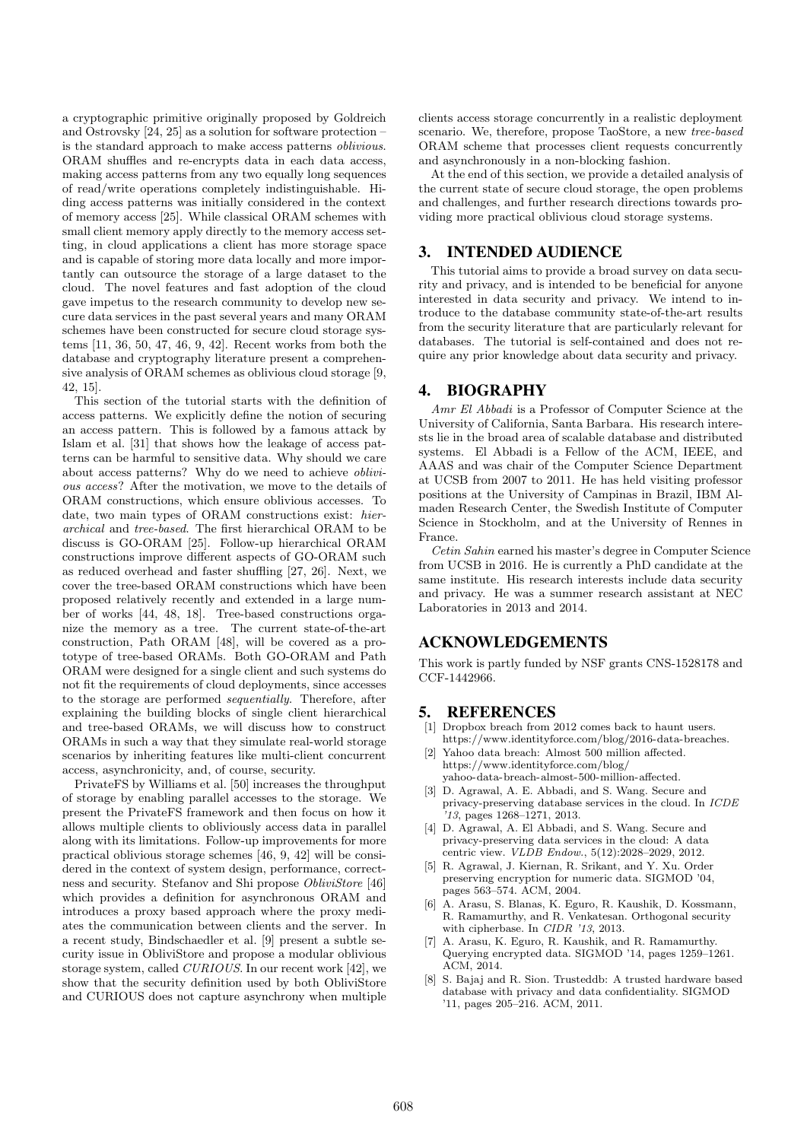a cryptographic primitive originally proposed by Goldreich and Ostrovsky [24, 25] as a solution for software protection – is the standard approach to make access patterns oblivious. ORAM shuffles and re-encrypts data in each data access, making access patterns from any two equally long sequences of read/write operations completely indistinguishable. Hiding access patterns was initially considered in the context of memory access [25]. While classical ORAM schemes with small client memory apply directly to the memory access setting, in cloud applications a client has more storage space and is capable of storing more data locally and more importantly can outsource the storage of a large dataset to the cloud. The novel features and fast adoption of the cloud gave impetus to the research community to develop new secure data services in the past several years and many ORAM schemes have been constructed for secure cloud storage systems [11, 36, 50, 47, 46, 9, 42]. Recent works from both the database and cryptography literature present a comprehensive analysis of ORAM schemes as oblivious cloud storage [9, 42, 15].

This section of the tutorial starts with the definition of access patterns. We explicitly define the notion of securing an access pattern. This is followed by a famous attack by Islam et al. [31] that shows how the leakage of access patterns can be harmful to sensitive data. Why should we care about access patterns? Why do we need to achieve oblivious access? After the motivation, we move to the details of ORAM constructions, which ensure oblivious accesses. To date, two main types of ORAM constructions exist: hierarchical and tree-based. The first hierarchical ORAM to be discuss is GO-ORAM [25]. Follow-up hierarchical ORAM constructions improve different aspects of GO-ORAM such as reduced overhead and faster shuffling [27, 26]. Next, we cover the tree-based ORAM constructions which have been proposed relatively recently and extended in a large number of works [44, 48, 18]. Tree-based constructions organize the memory as a tree. The current state-of-the-art construction, Path ORAM [48], will be covered as a prototype of tree-based ORAMs. Both GO-ORAM and Path ORAM were designed for a single client and such systems do not fit the requirements of cloud deployments, since accesses to the storage are performed sequentially. Therefore, after explaining the building blocks of single client hierarchical and tree-based ORAMs, we will discuss how to construct ORAMs in such a way that they simulate real-world storage scenarios by inheriting features like multi-client concurrent access, asynchronicity, and, of course, security.

PrivateFS by Williams et al. [50] increases the throughput of storage by enabling parallel accesses to the storage. We present the PrivateFS framework and then focus on how it allows multiple clients to obliviously access data in parallel along with its limitations. Follow-up improvements for more practical oblivious storage schemes [46, 9, 42] will be considered in the context of system design, performance, correctness and security. Stefanov and Shi propose ObliviStore [46] which provides a definition for asynchronous ORAM and introduces a proxy based approach where the proxy mediates the communication between clients and the server. In a recent study, Bindschaedler et al. [9] present a subtle security issue in ObliviStore and propose a modular oblivious storage system, called CURIOUS. In our recent work [42], we show that the security definition used by both ObliviStore and CURIOUS does not capture asynchrony when multiple clients access storage concurrently in a realistic deployment scenario. We, therefore, propose TaoStore, a new tree-based ORAM scheme that processes client requests concurrently and asynchronously in a non-blocking fashion.

At the end of this section, we provide a detailed analysis of the current state of secure cloud storage, the open problems and challenges, and further research directions towards providing more practical oblivious cloud storage systems.

#### 3. INTENDED AUDIENCE

This tutorial aims to provide a broad survey on data security and privacy, and is intended to be beneficial for anyone interested in data security and privacy. We intend to introduce to the database community state-of-the-art results from the security literature that are particularly relevant for databases. The tutorial is self-contained and does not require any prior knowledge about data security and privacy.

#### 4. BIOGRAPHY

Amr El Abbadi is a Professor of Computer Science at the University of California, Santa Barbara. His research interests lie in the broad area of scalable database and distributed systems. El Abbadi is a Fellow of the ACM, IEEE, and AAAS and was chair of the Computer Science Department at UCSB from 2007 to 2011. He has held visiting professor positions at the University of Campinas in Brazil, IBM Almaden Research Center, the Swedish Institute of Computer Science in Stockholm, and at the University of Rennes in France.

Cetin Sahin earned his master's degree in Computer Science from UCSB in 2016. He is currently a PhD candidate at the same institute. His research interests include data security and privacy. He was a summer research assistant at NEC Laboratories in 2013 and 2014.

#### ACKNOWLEDGEMENTS

This work is partly funded by NSF grants CNS-1528178 and CCF-1442966.

#### 5. REFERENCES

- [1] Dropbox breach from 2012 comes back to haunt users. https://www.identityforce.com/blog/2016-data-breaches.
- Yahoo data breach: Almost 500 million affected. https://www.identityforce.com/blog/ yahoo-data-breach-almost-500-million-affected.
- D. Agrawal, A. E. Abbadi, and S. Wang. Secure and privacy-preserving database services in the cloud. In ICDE '13, pages 1268–1271, 2013.
- [4] D. Agrawal, A. El Abbadi, and S. Wang. Secure and privacy-preserving data services in the cloud: A data centric view. *VLDB Endow.*, 5(12):2028-2029, 2012.
- [5] R. Agrawal, J. Kiernan, R. Srikant, and Y. Xu. Order preserving encryption for numeric data. SIGMOD '04, pages 563–574. ACM, 2004.
- [6] A. Arasu, S. Blanas, K. Eguro, R. Kaushik, D. Kossmann, R. Ramamurthy, and R. Venkatesan. Orthogonal security with cipherbase. In CIDR '13, 2013.
- [7] A. Arasu, K. Eguro, R. Kaushik, and R. Ramamurthy. Querying encrypted data. SIGMOD '14, pages 1259–1261. ACM, 2014.
- [8] S. Bajaj and R. Sion. Trusteddb: A trusted hardware based database with privacy and data confidentiality. SIGMOD '11, pages 205–216. ACM, 2011.